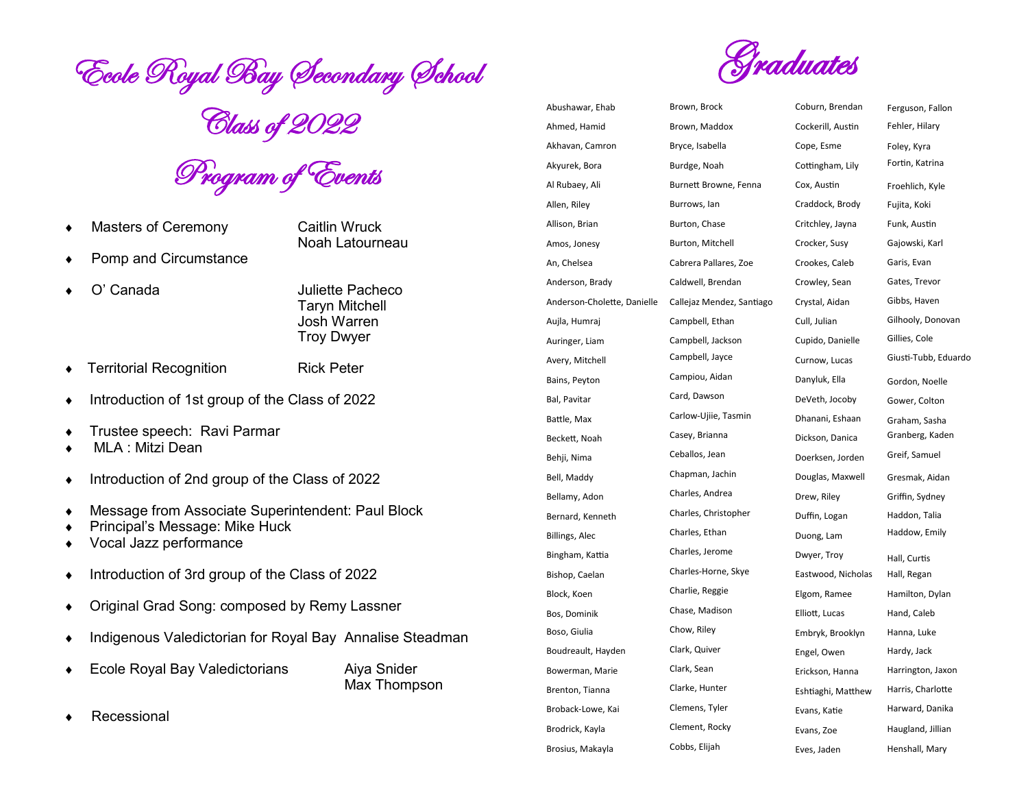Ecole Royal Bay Secondary School Graduates Class of 2022

Program of Events

◆ Masters of Ceremony Caitlin Wruck

Noah Latourneau

- Pomp and Circumstance
- 
- O' Canada Juliette Pacheco Taryn Mitchell Josh Warren Troy Dwyer
- ◆ Territorial Recognition Rick Peter
- $\bullet$  Introduction of 1st group of the Class of 2022
- Trustee speech: Ravi Parmar
- MLA : Mitzi Dean
- $\bullet$  Introduction of 2nd group of the Class of 2022
- Message from Associate Superintendent: Paul Block
- Principal's Message: Mike Huck
- Vocal Jazz performance
- $\bullet$  Introduction of 3rd group of the Class of 2022
- Original Grad Song: composed by Remy Lassner
- Indigenous Valedictorian for Royal Bay Annalise Steadman
- ◆ Ecole Royal Bay Valedictorians Aiya Snider

Max Thompson

Recessional



| Abushawar, Ehab             | Brown, Brock              | Coburn, Brendan    | Ferguson, Fallon     |
|-----------------------------|---------------------------|--------------------|----------------------|
| Ahmed, Hamid                | Brown, Maddox             | Cockerill, Austin  | Fehler, Hilary       |
| Akhavan, Camron             | Bryce, Isabella           | Cope, Esme         | Foley, Kyra          |
| Akyurek, Bora               | Burdge, Noah              | Cottingham, Lily   | Fortin, Katrina      |
| Al Rubaey, Ali              | Burnett Browne, Fenna     | Cox, Austin        | Froehlich, Kyle      |
| Allen, Riley                | Burrows, Ian              | Craddock, Brody    | Fujita, Koki         |
| Allison, Brian              | Burton, Chase             | Critchley, Jayna   | Funk, Austin         |
| Amos, Jonesy                | Burton, Mitchell          | Crocker, Susy      | Gajowski, Karl       |
| An, Chelsea                 | Cabrera Pallares, Zoe     | Crookes, Caleb     | Garis, Evan          |
| Anderson, Brady             | Caldwell, Brendan         | Crowley, Sean      | Gates, Trevor        |
| Anderson-Cholette, Danielle | Callejaz Mendez, Santiago | Crystal, Aidan     | Gibbs, Haven         |
| Aujla, Humraj               | Campbell, Ethan           | Cull, Julian       | Gilhooly, Donovan    |
| Auringer, Liam              | Campbell, Jackson         | Cupido, Danielle   | Gillies, Cole        |
| Avery, Mitchell             | Campbell, Jayce           | Curnow, Lucas      | Giusti-Tubb, Eduardo |
| Bains, Peyton               | Campiou, Aidan            | Danyluk, Ella      | Gordon, Noelle       |
| Bal, Pavitar                | Card, Dawson              | DeVeth, Jocoby     | Gower, Colton        |
| Battle, Max                 | Carlow-Ujiie, Tasmin      | Dhanani, Eshaan    | Graham, Sasha        |
| Beckett, Noah               | Casey, Brianna            | Dickson, Danica    | Granberg, Kaden      |
| Behji, Nima                 | Ceballos, Jean            | Doerksen, Jorden   | Greif, Samuel        |
| Bell, Maddy                 | Chapman, Jachin           | Douglas, Maxwell   | Gresmak, Aidan       |
| Bellamy, Adon               | Charles, Andrea           | Drew, Riley        | Griffin, Sydney      |
| Bernard, Kenneth            | Charles, Christopher      | Duffin, Logan      | Haddon, Talia        |
| Billings, Alec              | Charles, Ethan            | Duong, Lam         | Haddow, Emily        |
| Bingham, Kattia             | Charles, Jerome           | Dwyer, Troy        | Hall, Curtis         |
| Bishop, Caelan              | Charles-Horne, Skye       | Eastwood, Nicholas | Hall, Regan          |
| Block, Koen                 | Charlie, Reggie           | Elgom, Ramee       | Hamilton, Dylan      |
| Bos, Dominik                | Chase, Madison            | Elliott, Lucas     | Hand, Caleb          |
| Boso, Giulia                | Chow, Riley               | Embryk, Brooklyn   | Hanna, Luke          |
| Boudreault, Hayden          | Clark, Quiver             | Engel, Owen        | Hardy, Jack          |
| Bowerman, Marie             | Clark, Sean               | Erickson, Hanna    | Harrington, Jaxon    |
| Brenton, Tianna             | Clarke, Hunter            | Eshtiaghi, Matthew | Harris, Charlotte    |
| Broback-Lowe, Kai           | Clemens, Tyler            | Evans, Katie       | Harward, Danika      |
| Brodrick, Kayla             | Clement, Rocky            | Evans, Zoe         | Haugland, Jillian    |
| Brosius, Makayla            | Cobbs, Elijah             | Eves, Jaden        | Henshall, Mary       |